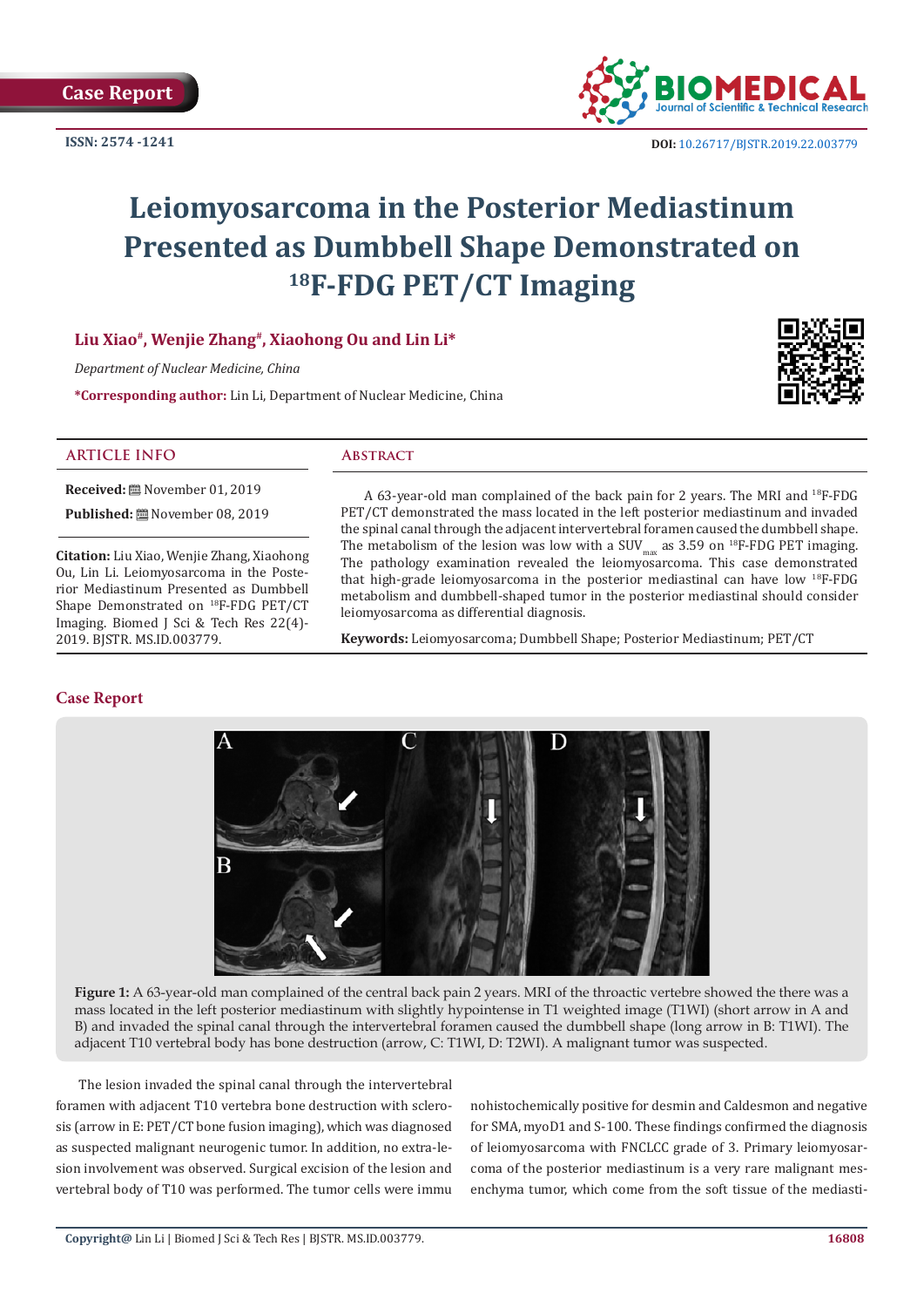**ISSN: 2574 -1241**



 **DOI:** [10.26717/BJSTR.2019.22.003779](http://dx.doi.org/10.26717/BJSTR.2019.22.003779)

# **Leiomyosarcoma in the Posterior Mediastinum Presented as Dumbbell Shape Demonstrated on 18F-FDG PET/CT Imaging**

# **Liu Xiao#, Wenjie Zhang#, Xiaohong Ou and Lin Li\***

*Department of Nuclear Medicine, China*

**\*Corresponding author:** Lin Li, Department of Nuclear Medicine, China



## **ARTICLE INFO Abstract**

**Received:** November 01, 2019

**Published:** November 08, 2019

**Citation:** Liu Xiao, Wenjie Zhang, Xiaohong Ou, Lin Li. Leiomyosarcoma in the Posterior Mediastinum Presented as Dumbbell Shape Demonstrated on 18F-FDG PET/CT Imaging. Biomed J Sci & Tech Res 22(4)- 2019. BJSTR. MS.ID.003779.

A 63-year-old man complained of the back pain for 2 years. The MRI and 18F-FDG PET/CT demonstrated the mass located in the left posterior mediastinum and invaded the spinal canal through the adjacent intervertebral foramen caused the dumbbell shape. The metabolism of the lesion was low with a SUV<sub>max</sub> as 3.59 on <sup>18</sup>F-FDG PET imaging. The pathology examination revealed the leiomyosarcoma. This case demonstrated that high-grade leiomyosarcoma in the posterior mediastinal can have low 18F-FDG metabolism and dumbbell-shaped tumor in the posterior mediastinal should consider leiomyosarcoma as differential diagnosis.

**Keywords:** Leiomyosarcoma; Dumbbell Shape; Posterior Mediastinum; PET/CT

# **Case Report**



**Figure 1:** A 63-year-old man complained of the central back pain 2 years. MRI of the throactic vertebre showed the there was a mass located in the left posterior mediastinum with slightly hypointense in T1 weighted image (T1WI) (short arrow in A and B) and invaded the spinal canal through the intervertebral foramen caused the dumbbell shape (long arrow in B: T1WI). The adjacent T10 vertebral body has bone destruction (arrow, C: T1WI, D: T2WI). A malignant tumor was suspected.

The lesion invaded the spinal canal through the intervertebral foramen with adjacent T10 vertebra bone destruction with sclerosis (arrow in E: PET/CT bone fusion imaging), which was diagnosed as suspected malignant neurogenic tumor. In addition, no extra-lesion involvement was observed. Surgical excision of the lesion and vertebral body of T10 was performed. The tumor cells were immu

nohistochemically positive for desmin and Caldesmon and negative for SMA, myoD1 and S-100. These findings confirmed the diagnosis of leiomyosarcoma with FNCLCC grade of 3. Primary leiomyosarcoma of the posterior mediastinum is a very rare malignant mesenchyma tumor, which come from the soft tissue of the mediasti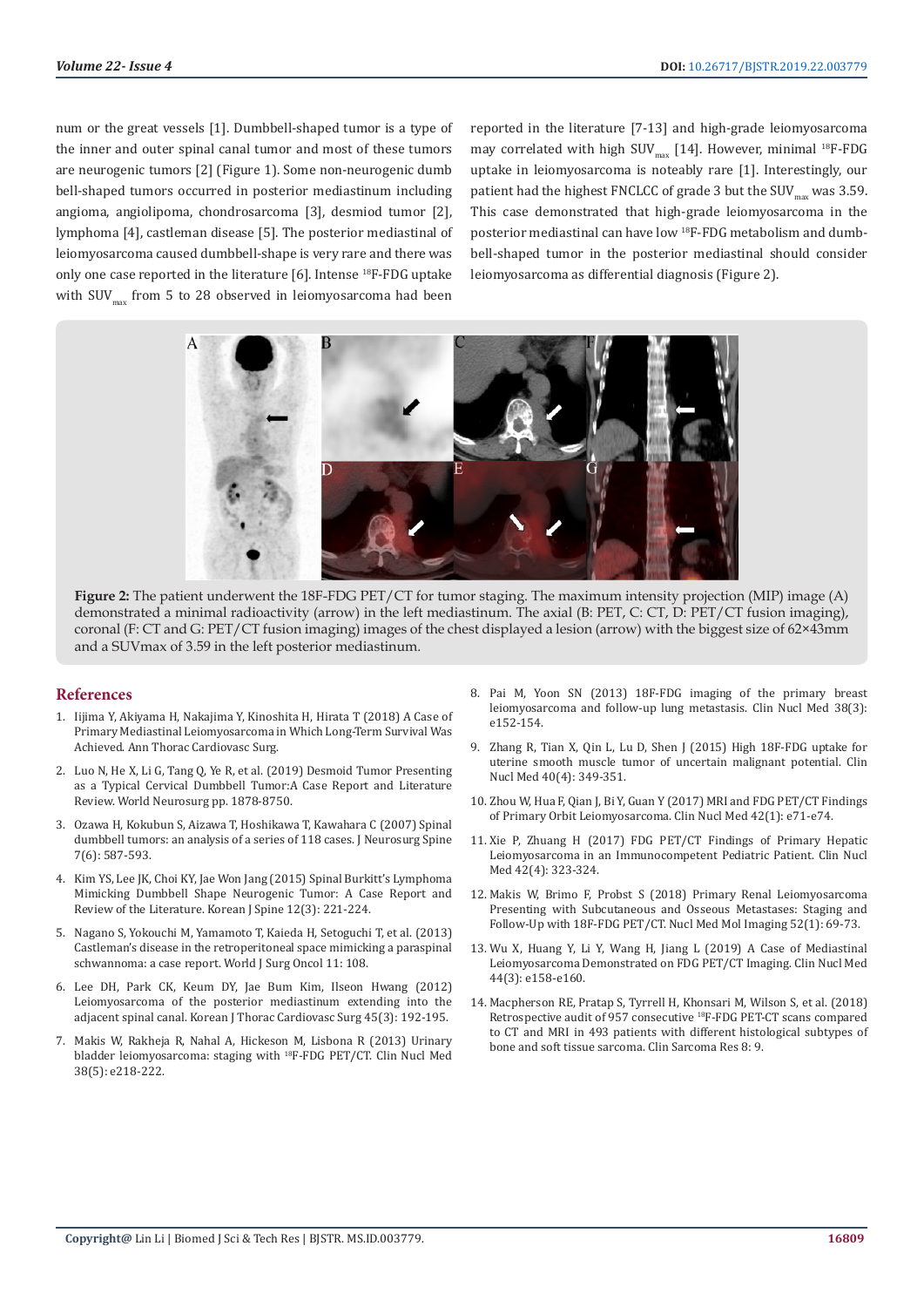num or the great vessels [1]. Dumbbell-shaped tumor is a type of the inner and outer spinal canal tumor and most of these tumors are neurogenic tumors [2] (Figure 1). Some non-neurogenic dumb bell-shaped tumors occurred in posterior mediastinum including angioma, angiolipoma, chondrosarcoma [3], desmiod tumor [2], lymphoma [4], castleman disease [5]. The posterior mediastinal of leiomyosarcoma caused dumbbell-shape is very rare and there was only one case reported in the literature [6]. Intense 18F-FDG uptake with  $\text{SUV}_{\text{max}}$  from 5 to 28 observed in leiomyosarcoma had been

reported in the literature [7-13] and high-grade leiomyosarcoma may correlated with high SUV<sub>max</sub> [14]. However, minimal <sup>18</sup>F-FDG uptake in leiomyosarcoma is noteably rare [1]. Interestingly, our patient had the highest FNCLCC of grade 3 but the  $\text{SUV}_{\text{max}}$  was 3.59. This case demonstrated that high-grade leiomyosarcoma in the posterior mediastinal can have low 18F-FDG metabolism and dumbbell-shaped tumor in the posterior mediastinal should consider leiomyosarcoma as differential diagnosis (Figure 2).



**Figure 2:** The patient underwent the 18F-FDG PET/CT for tumor staging. The maximum intensity projection (MIP) image (A) demonstrated a minimal radioactivity (arrow) in the left mediastinum. The axial (B: PET, C: CT, D: PET/CT fusion imaging), coronal (F: CT and G: PET/CT fusion imaging) images of the chest displayed a lesion (arrow) with the biggest size of 62×43mm and a SUVmax of 3.59 in the left posterior mediastinum.

#### **References**

- 1. [Iijima Y, Akiyama H, Nakajima Y, Kinoshita H, Hirata T \(2018\) A Case of](https://www.ncbi.nlm.nih.gov/pubmed/29607872)  [Primary Mediastinal Leiomyosarcoma in Which Long-Term Survival Was](https://www.ncbi.nlm.nih.gov/pubmed/29607872)  [Achieved. Ann Thorac Cardiovasc Surg.](https://www.ncbi.nlm.nih.gov/pubmed/29607872)
- 2. [Luo N, He X, Li G, Tang Q, Ye R, et al. \(2019\) Desmoid Tumor Presenting](https://www.ncbi.nlm.nih.gov/pubmed/30639503)  [as a Typical Cervical Dumbbell Tumor:A Case Report and Literature](https://www.ncbi.nlm.nih.gov/pubmed/30639503)  [Review. World Neurosurg pp. 1878-8750.](https://www.ncbi.nlm.nih.gov/pubmed/30639503)
- 3. [Ozawa H, Kokubun S, Aizawa T, Hoshikawa T, Kawahara C \(2007\) Spinal](https://www.ncbi.nlm.nih.gov/pubmed/18074682)  [dumbbell tumors: an analysis of a series of 118 cases. J Neurosurg Spine](https://www.ncbi.nlm.nih.gov/pubmed/18074682)  [7\(6\): 587-593.](https://www.ncbi.nlm.nih.gov/pubmed/18074682)
- 4. [Kim YS, Lee JK, Choi KY, Jae Won Jang \(2015\) Spinal Burkitt's Lymphoma](https://www.ncbi.nlm.nih.gov/pmc/articles/PMC4623190/)  [Mimicking Dumbbell Shape Neurogenic Tumor: A Case Report and](https://www.ncbi.nlm.nih.gov/pmc/articles/PMC4623190/)  [Review of the Literature. Korean J Spine 12\(3\): 221-224.](https://www.ncbi.nlm.nih.gov/pmc/articles/PMC4623190/)
- 5. [Nagano S, Yokouchi M, Yamamoto T, Kaieda H, Setoguchi T, et al. \(2013\)](https://www.ncbi.nlm.nih.gov/pubmed/23702327)  [Castleman's disease in the retroperitoneal space mimicking a paraspinal](https://www.ncbi.nlm.nih.gov/pubmed/23702327)  [schwannoma: a case report. World J Surg Oncol 11: 108.](https://www.ncbi.nlm.nih.gov/pubmed/23702327)
- 6. [Lee DH, Park CK, Keum DY, Jae Bum Kim, Ilseon Hwang \(2012\)](https://www.ncbi.nlm.nih.gov/pmc/articles/PMC3373978/)  [Leiomyosarcoma of the posterior mediastinum extending into the](https://www.ncbi.nlm.nih.gov/pmc/articles/PMC3373978/)  [adjacent spinal canal. Korean J Thorac Cardiovasc Surg 45\(3\): 192-195.](https://www.ncbi.nlm.nih.gov/pmc/articles/PMC3373978/)
- 7. [Makis W, Rakheja R, Nahal A, Hickeson M, Lisbona R \(2013\) Urinary](https://www.ncbi.nlm.nih.gov/pubmed/23377410)  [bladder leiomyosarcoma: staging with](https://www.ncbi.nlm.nih.gov/pubmed/23377410) 18F-FDG PET/CT. Clin Nucl Med [38\(5\): e218-222.](https://www.ncbi.nlm.nih.gov/pubmed/23377410)
- 8. [Pai M, Yoon SN \(2013\) 18F-FDG imaging of the primary breast](https://www.ncbi.nlm.nih.gov/pubmed/23354027) [leiomyosarcoma and follow-up lung metastasis. Clin Nucl Med 38\(3\):](https://www.ncbi.nlm.nih.gov/pubmed/23354027) [e152-154.](https://www.ncbi.nlm.nih.gov/pubmed/23354027)
- 9. [Zhang R, Tian X, Qin L, Lu D, Shen J \(2015\) High 18F-FDG uptake for](https://www.ncbi.nlm.nih.gov/pubmed/25674868) [uterine smooth muscle tumor of uncertain malignant potential. Clin](https://www.ncbi.nlm.nih.gov/pubmed/25674868) [Nucl Med 40\(4\): 349-351.](https://www.ncbi.nlm.nih.gov/pubmed/25674868)
- 10. [Zhou W, Hua F, Qian J, Bi Y, Guan Y \(2017\) MRI and FDG PET/CT Findings](https://www.ncbi.nlm.nih.gov/pubmed/27556798) [of Primary Orbit Leiomyosarcoma. Clin Nucl Med 42\(1\): e71-e74.](https://www.ncbi.nlm.nih.gov/pubmed/27556798)
- 11. [Xie P, Zhuang H \(2017\) FDG PET/CT Findings of Primary Hepatic](https://www.ncbi.nlm.nih.gov/pubmed/28166141) [Leiomyosarcoma in an Immunocompetent Pediatric Patient. Clin Nucl](https://www.ncbi.nlm.nih.gov/pubmed/28166141) [Med 42\(4\): 323-324.](https://www.ncbi.nlm.nih.gov/pubmed/28166141)
- 12. [Makis W, Brimo F, Probst S \(2018\) Primary Renal Leiomyosarcoma](https://www.ncbi.nlm.nih.gov/pubmed/29391915) [Presenting with Subcutaneous and Osseous Metastases: Staging and](https://www.ncbi.nlm.nih.gov/pubmed/29391915) [Follow-Up with 18F-FDG PET/CT. Nucl Med Mol Imaging 52\(1\): 69-73.](https://www.ncbi.nlm.nih.gov/pubmed/29391915)
- 13. [Wu X, Huang Y, Li Y, Wang H, Jiang L \(2019\) A Case of Mediastinal](https://www.ncbi.nlm.nih.gov/pubmed/30624267) [Leiomyosarcoma Demonstrated on FDG PET/CT Imaging. Clin Nucl Med](https://www.ncbi.nlm.nih.gov/pubmed/30624267) [44\(3\): e158-e160.](https://www.ncbi.nlm.nih.gov/pubmed/30624267)
- 14. [Macpherson RE, Pratap S, Tyrrell H, Khonsari M, Wilson S, et al. \(2018\)](https://www.ncbi.nlm.nih.gov/pubmed/30116519) [Retrospective audit of 957 consecutive](https://www.ncbi.nlm.nih.gov/pubmed/30116519) 18F-FDG PET-CT scans compared [to CT and MRI in 493 patients with different histological subtypes of](https://www.ncbi.nlm.nih.gov/pubmed/30116519) [bone and soft tissue sarcoma. Clin Sarcoma Res 8: 9.](https://www.ncbi.nlm.nih.gov/pubmed/30116519)